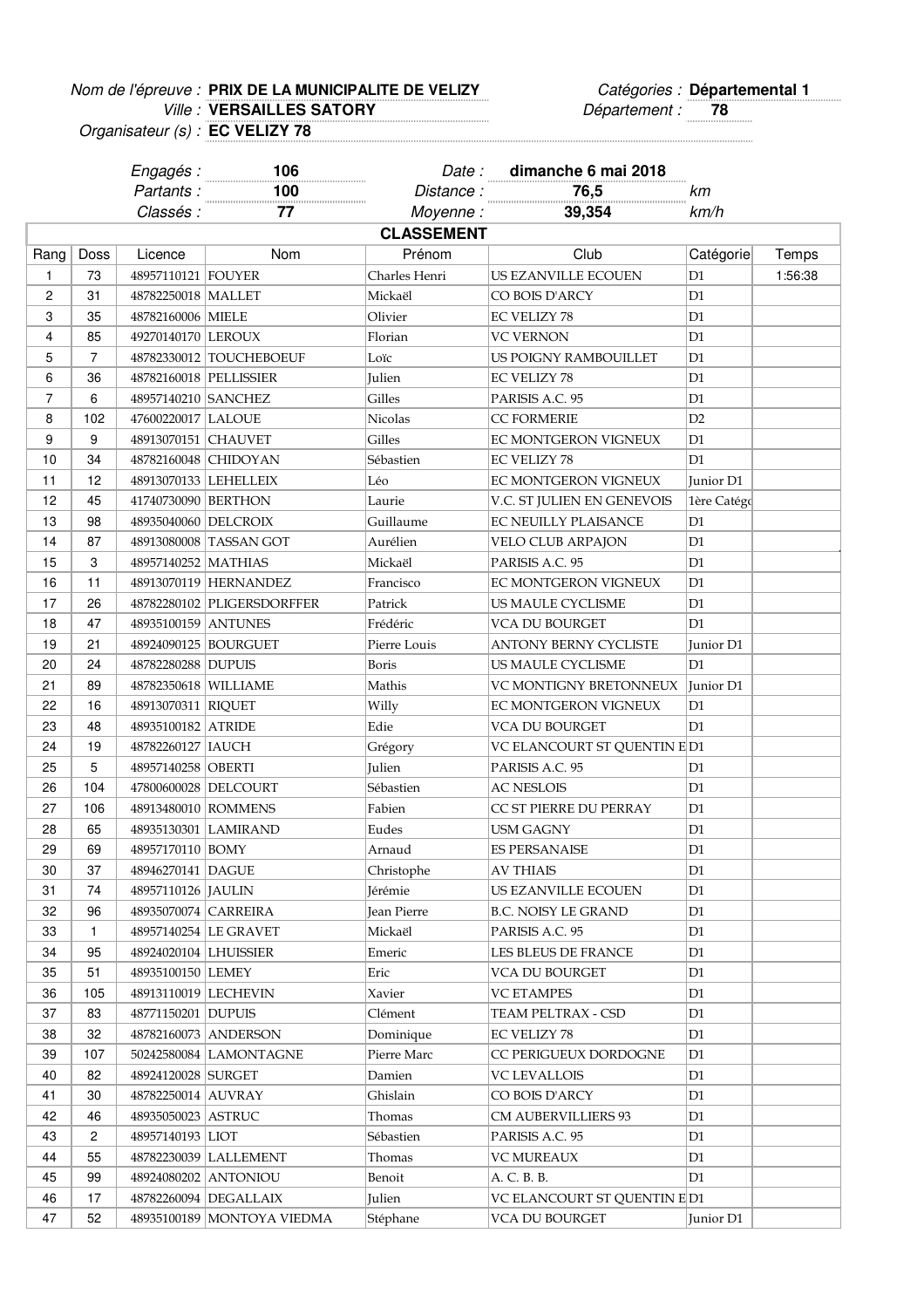## Nom de l'épreuve : PRIX DE LA MUNICIPALITE DE VELIZY **De la contracte de la contracte de la contracte de la contr** Ville : Département : **78 VERSAILLES SATORY**

Engagés : **106** Date : **dimanche 6 mai 2018**

N° /Catégorie Epreuve :

Organisateur (s) : **EC VELIZY 78**

Partants : **100** Distance : **76,5** km Classés : **77** Moyenne : **39,354** km/h Rang | Doss | Licence | Nom | Prénom | Club | Catégorie Temps 1 73 48957110121 FOUYER Charles Henri US EZANVILLE ECOUEN D1 1:56:38 2 31 48782250018 MALLET Mickaël CO BOIS D'ARCY D1 3 35 48782160006 MIELE Olivier EC VELIZY 78 D1 4 85 49270140170 LEROUX Florian VC VERNON D1 5 7 48782330012 TOUCHEBOEUF Loïc US POIGNY RAMBOUILLET D1 6 36 48782160018 PELLISSIER Julien EC VELIZY 78 D1 7 6 48957140210 SANCHEZ Gilles PARISIS A.C. 95 D1 8 | 102 | 47600220017 LALOUE Nicolas | CC FORMERIE | D2 9 9 48913070151 CHAUVET Gilles EC MONTGERON VIGNEUX D1 10 34 48782160048 CHIDOYAN Sébastien EC VELIZY 78 D1 11 12 48913070133 LEHELLEIX Léo EC MONTGERON VIGNEUX Junior D1 12 45 41740730090 BERTHON Laurie V.C. ST JULIEN EN GENEVOIS 1ère Catégorie 13 98 48935040060 DELCROIX Guillaume EC NEUILLY PLAISANCE D1 14 87 48913080008 TASSAN GOT Aurélien VELO CLUB ARPAJON D1 15 3 48957140252 MATHIAS Mickaël PARISIS A.C. 95 D1 16 11 48913070119 HERNANDEZ Francisco EC MONTGERON VIGNEUX D1 17 26 48782280102 PLIGERSDORFFER Patrick US MAULE CYCLISME D1 18 47 48935100159 ANTUNES Frédéric VCA DU BOURGET D1 19 21 48924090125 BOURGUET Pierre Louis ANTONY BERNY CYCLISTE Junior D1 20 24 48782280288 DUPUIS Boris US MAULE CYCLISME D1 21 89 48782350618 WILLIAME Mathis VC MONTIGNY BRETONNEUX Junior D1 22 16 48913070311 RIQUET Willy EC MONTGERON VIGNEUX D1 23 48 48935100182 ATRIDE Edie VCA DU BOURGET D1 24 | 19 | 48782260127 | IAUCH Grégory | VC ELANCOURT ST QUENTIN E D1 25 | 5 | 48957140258 | OBERTI | Julien | PARISIS A.C. 95 | D1 26 | 104 | 47800600028 DELCOURT Sébastien | AC NESLOIS | D1 27 | 106 | 48913480010 ROMMENS Fabien CC ST PIERRE DU PERRAY | D1 28 65 48935130301 LAMIRAND Eudes USM GAGNY D1 29 69 48957170110 BOMY Arnaud ES PERSANAISE 30 37 48946270141 DAGUE Christophe AV THIAIS D1 31 74 48957110126 JAULIN Jérémie US EZANVILLE ECOUEN D1 32 96 48935070074 CARREIRA Jean Pierre B.C. NOISY LE GRAND D1 33 1 48957140254 LE GRAVET Mickaël PARISIS A.C. 95 D1 34 95 48924020104 LHUISSIER Emeric LES BLEUS DE FRANCE D1 35 51 48935100150 LEMEY Eric VCA DU BOURGET D1 36 105 48913110019 LECHEVIN Xavier VC ETAMPES D1 37 83 48771150201 DUPUIS Clément TEAM PELTRAX - CSD D1 38 32 48782160073 ANDERSON Dominique EC VELIZY 78 D1 39 107 50242580084 LAMONTAGNE Pierre Marc CC PERIGUEUX DORDOGNE D1 40 82 48924120028 SURGET Damien VC LEVALLOIS D1 41 30 48782250014 AUVRAY Ghislain CO BOIS D'ARCY D1 42 46 48935050023 ASTRUC Thomas CM AUBERVILLIERS 93 D1 43 2 48957140193 LIOT Sébastien PARISIS A.C. 95 D1 44 55 48782230039 LALLEMENT Thomas VC MUREAUX D1 45 99 48924080202 ANTONIOU Benoit A. C. B. B. D1 46 | 17 | 48782260094 | DEGALLAIX | Julien | VC ELANCOURT ST QUENTIN E D1 **CLASSEMENT**

47 52 48935100189 MONTOYA VIEDMA Stéphane VCA DU BOURGET Junior D1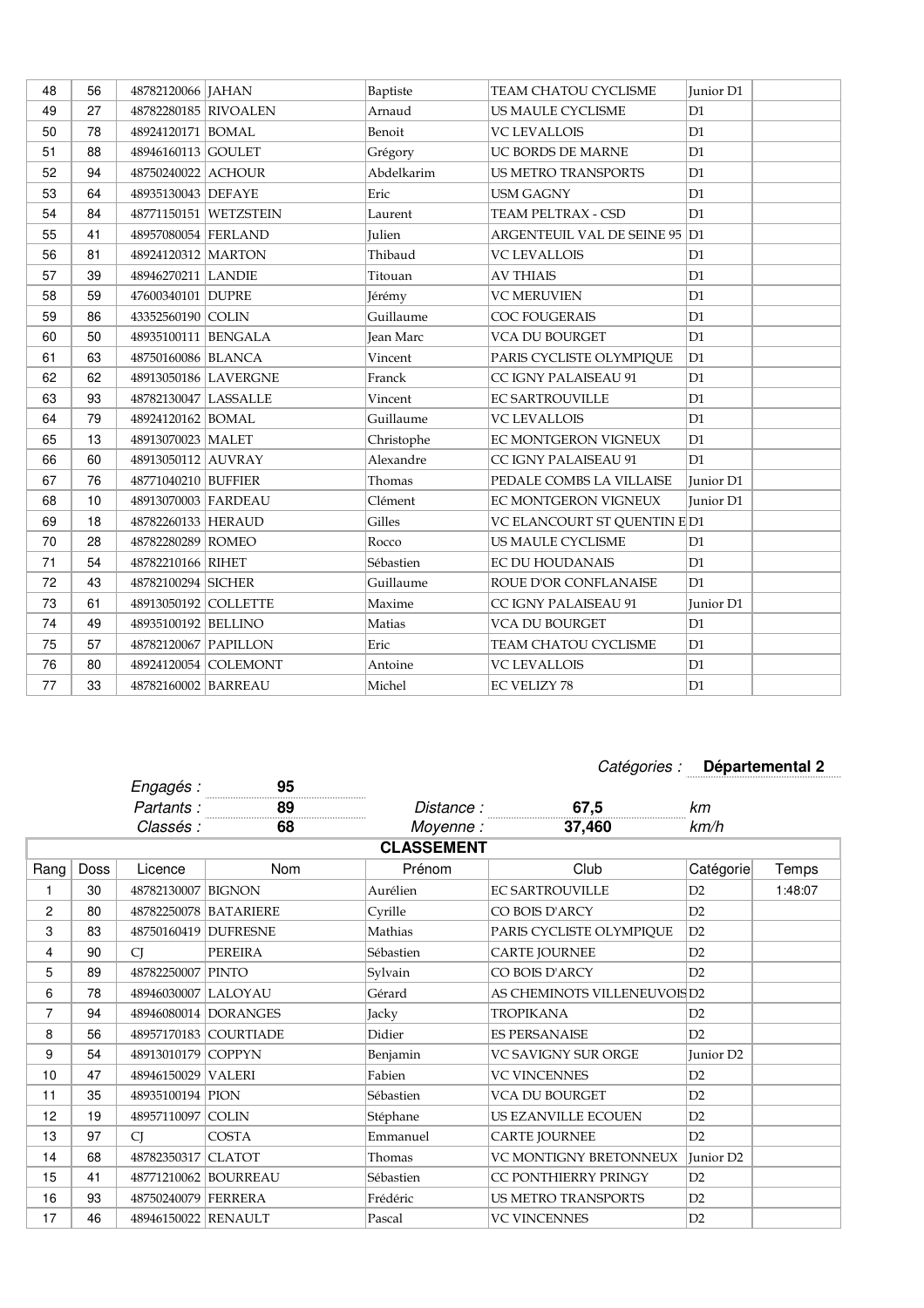| 48 | 56 | 48782120066   JAHAN  |                       | Baptiste         | TEAM CHATOU CYCLISME          | Junior D1 |
|----|----|----------------------|-----------------------|------------------|-------------------------------|-----------|
| 49 | 27 | 48782280185 RIVOALEN |                       | Arnaud           | US MAULE CYCLISME             | D1        |
| 50 | 78 | 48924120171 BOMAL    |                       | Benoit           | <b>VC LEVALLOIS</b>           | D1        |
| 51 | 88 | 48946160113 GOULET   |                       | Grégory          | UC BORDS DE MARNE             | D1        |
| 52 | 94 | 48750240022 ACHOUR   |                       | Abdelkarim       | <b>US METRO TRANSPORTS</b>    | D1        |
| 53 | 64 | 48935130043 DEFAYE   |                       | Eric             | <b>USM GAGNY</b>              | D1        |
| 54 | 84 |                      | 48771150151 WETZSTEIN | Laurent          | TEAM PELTRAX - CSD            | D1        |
| 55 | 41 | 48957080054 FERLAND  |                       | Julien           | ARGENTEUIL VAL DE SEINE 95 D1 |           |
| 56 | 81 | 48924120312 MARTON   |                       | Thibaud          | <b>VC LEVALLOIS</b>           | D1        |
| 57 | 39 | 48946270211 LANDIE   |                       | Titouan          | <b>AV THIAIS</b>              | D1        |
| 58 | 59 | 47600340101 DUPRE    |                       | Jérémy           | <b>VC MERUVIEN</b>            | D1        |
| 59 | 86 | 43352560190 COLIN    |                       | Guillaume        | <b>COC FOUGERAIS</b>          | D1        |
| 60 | 50 | 48935100111 BENGALA  |                       | <b>Jean Marc</b> | <b>VCA DU BOURGET</b>         | D1        |
| 61 | 63 | 48750160086 BLANCA   |                       | Vincent          | PARIS CYCLISTE OLYMPIQUE      | D1        |
| 62 | 62 |                      | 48913050186 LAVERGNE  | Franck           | CC IGNY PALAISEAU 91          | D1        |
| 63 | 93 | 48782130047 LASSALLE |                       | Vincent          | <b>EC SARTROUVILLE</b>        | D1        |
| 64 | 79 | 48924120162 BOMAL    |                       | Guillaume        | <b>VC LEVALLOIS</b>           | D1        |
| 65 | 13 | 48913070023 MALET    |                       | Christophe       | EC MONTGERON VIGNEUX          | D1        |
| 66 | 60 | 48913050112 AUVRAY   |                       | Alexandre        | CC IGNY PALAISEAU 91          | D1        |
| 67 | 76 | 48771040210 BUFFIER  |                       | Thomas           | PEDALE COMBS LA VILLAISE      | Junior D1 |
| 68 | 10 | 48913070003 FARDEAU  |                       | Clément          | EC MONTGERON VIGNEUX          | Junior D1 |
| 69 | 18 | 48782260133 HERAUD   |                       | Gilles           | VC ELANCOURT ST QUENTIN E D1  |           |
| 70 | 28 | 48782280289 ROMEO    |                       | Rocco            | US MAULE CYCLISME             | D1        |
| 71 | 54 | 48782210166 RIHET    |                       | Sébastien        | <b>EC DU HOUDANAIS</b>        | D1        |
| 72 | 43 | 48782100294 SICHER   |                       | Guillaume        | ROUE D'OR CONFLANAISE         | D1        |
| 73 | 61 | 48913050192 COLLETTE |                       | Maxime           | <b>CC IGNY PALAISEAU 91</b>   | Junior D1 |
| 74 | 49 | 48935100192 BELLINO  |                       | Matias           | <b>VCA DU BOURGET</b>         | D1        |
| 75 | 57 | 48782120067 PAPILLON |                       | Eric             | TEAM CHATOU CYCLISME          | D1        |
| 76 | 80 |                      | 48924120054 COLEMONT  | Antoine          | <b>VC LEVALLOIS</b>           | D1        |
| 77 | 33 | 48782160002 BARREAU  |                       | Michel           | <b>EC VELIZY 78</b>           | D1        |

## $Cat\'egories:$  Départemental 2

|      |             | Engagés :            | 95                                |                   |                             |                       |         |
|------|-------------|----------------------|-----------------------------------|-------------------|-----------------------------|-----------------------|---------|
|      |             | Partants:            | 89<br>. <del>.</del> <del>.</del> | Distance :        | 67,5                        | km                    |         |
|      |             | Classés :            | 68                                | Moyenne:          | 37,460                      | km/h                  |         |
|      |             |                      |                                   | <b>CLASSEMENT</b> |                             |                       |         |
| Rang | <b>Doss</b> | Licence              | Nom                               | Prénom            | Club                        | Catégorie             | Temps   |
| 1    | 30          | 48782130007          | <b>BIGNON</b>                     | Aurélien          | <b>EC SARTROUVILLE</b>      | D2                    | 1:48:07 |
| 2    | 80          |                      | 48782250078 BATARIERE             | Cyrille           | CO BOIS D'ARCY              | D2                    |         |
| 3    | 83          | 48750160419 DUFRESNE |                                   | Mathias           | PARIS CYCLISTE OLYMPIOUE    | D2                    |         |
| 4    | 90          | <b>CI</b>            | <b>PEREIRA</b>                    | Sébastien         | <b>CARTE JOURNEE</b>        | D2                    |         |
| 5    | 89          | 48782250007 PINTO    |                                   | Sylvain           | CO BOIS D'ARCY              | D2                    |         |
| 6    | 78          | 48946030007 LALOYAU  |                                   | Gérard            | AS CHEMINOTS VILLENEUVOISD2 |                       |         |
| 7    | 94          |                      | 48946080014 DORANGES              | Jacky             | <b>TROPIKANA</b>            | D2                    |         |
| 8    | 56          |                      | 48957170183 COURTIADE             | Didier            | <b>ES PERSANAISE</b>        | D2                    |         |
| 9    | 54          | 48913010179 COPPYN   |                                   | Benjamin          | <b>VC SAVIGNY SUR ORGE</b>  | Junior D <sub>2</sub> |         |
| 10   | 47          | 48946150029 VALERI   |                                   | Fabien            | <b>VC VINCENNES</b>         | D2                    |         |
| 11   | 35          | 48935100194 PION     |                                   | Sébastien         | <b>VCA DU BOURGET</b>       | D2                    |         |
| 12   | 19          | 48957110097 COLIN    |                                   | Stéphane          | US EZANVILLE ECOUEN         | D2                    |         |
| 13   | 97          | <b>CI</b>            | <b>COSTA</b>                      | Emmanuel          | <b>CARTE JOURNEE</b>        | D2                    |         |
| 14   | 68          | 48782350317 CLATOT   |                                   | Thomas            | VC MONTIGNY BRETONNEUX      | Junior D <sub>2</sub> |         |
| 15   | 41          |                      | 48771210062 BOURREAU              | Sébastien         | CC PONTHIERRY PRINGY        | D2                    |         |
| 16   | 93          | 48750240079 FERRERA  |                                   | Frédéric          | <b>US METRO TRANSPORTS</b>  | D2                    |         |
| 17   | 46          | 48946150022 RENAULT  |                                   | Pascal            | <b>VC VINCENNES</b>         | D2                    |         |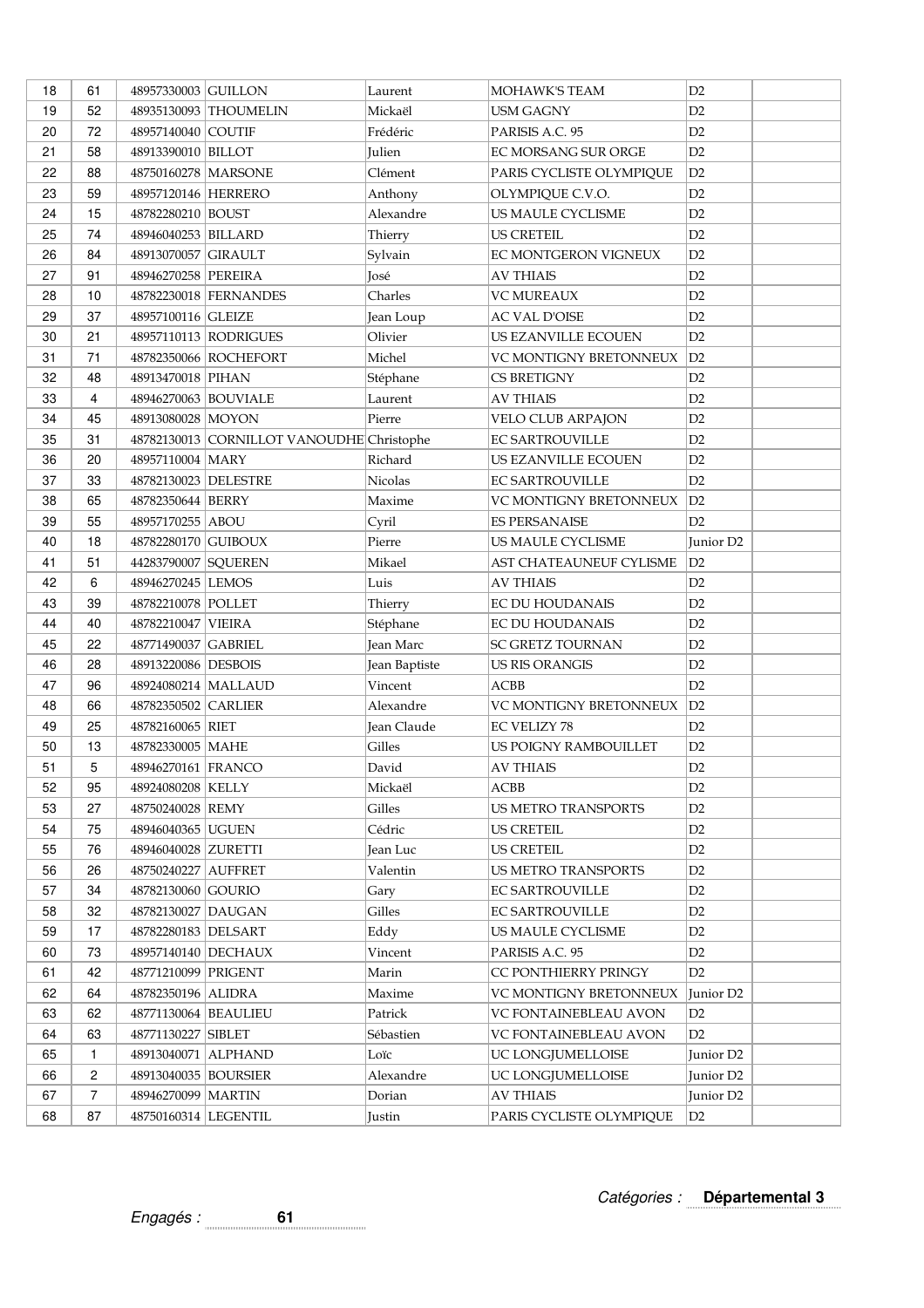| 18 | 61             | 48957330003 GUILLON    |                                           | Laurent       | MOHAWK'S TEAM              | D2                    |
|----|----------------|------------------------|-------------------------------------------|---------------|----------------------------|-----------------------|
| 19 | 52             |                        | 48935130093 THOUMELIN                     | Mickaël       | <b>USM GAGNY</b>           | D2                    |
| 20 | 72             | 48957140040 COUTIF     |                                           | Frédéric      | PARISIS A.C. 95            | D2                    |
| 21 | 58             | 48913390010 BILLOT     |                                           | Julien        | EC MORSANG SUR ORGE        | D2                    |
| 22 | 88             | 48750160278 MARSONE    |                                           | Clément       | PARIS CYCLISTE OLYMPIQUE   | D2                    |
| 23 | 59             | 48957120146 HERRERO    |                                           | Anthony       | OLYMPIQUE C.V.O.           | D2                    |
| 24 | 15             | 48782280210 BOUST      |                                           | Alexandre     | US MAULE CYCLISME          | D2                    |
| 25 | 74             | 48946040253   BILLARD  |                                           | Thierry       | <b>US CRETEIL</b>          | D2                    |
| 26 | 84             | 48913070057 GIRAULT    |                                           | Sylvain       | EC MONTGERON VIGNEUX       | D2                    |
| 27 | 91             | 48946270258 PEREIRA    |                                           | José          | <b>AV THIAIS</b>           | D2                    |
| 28 | 10             |                        | 48782230018 FERNANDES                     | Charles       | <b>VC MUREAUX</b>          | D2                    |
| 29 | 37             | 48957100116 GLEIZE     |                                           | Jean Loup     | <b>AC VAL D'OISE</b>       | D2                    |
| 30 | 21             |                        | 48957110113 RODRIGUES                     | Olivier       | US EZANVILLE ECOUEN        | D2                    |
| 31 | 71             |                        | 48782350066 ROCHEFORT                     | Michel        | VC MONTIGNY BRETONNEUX     | D2                    |
| 32 | 48             | 48913470018 PIHAN      |                                           | Stéphane      | <b>CS BRETIGNY</b>         | D <sub>2</sub>        |
| 33 | $\overline{4}$ | 48946270063 BOUVIALE   |                                           | Laurent       | <b>AV THIAIS</b>           | D2                    |
| 34 | 45             | 48913080028 MOYON      |                                           | Pierre        | VELO CLUB ARPAJON          | D2                    |
| 35 | 31             |                        | 48782130013 CORNILLOT VANOUDHE Christophe |               | <b>EC SARTROUVILLE</b>     | D2                    |
| 36 | 20             | 48957110004 MARY       |                                           | Richard       | US EZANVILLE ECOUEN        | D2                    |
| 37 | 33             | 48782130023 DELESTRE   |                                           | Nicolas       | <b>EC SARTROUVILLE</b>     | D2                    |
| 38 | 65             | 48782350644 BERRY      |                                           | Maxime        | VC MONTIGNY BRETONNEUX     | D2                    |
| 39 | 55             | 48957170255 ABOU       |                                           | Cyril         | <b>ES PERSANAISE</b>       | D2                    |
| 40 | 18             | 48782280170 GUIBOUX    |                                           | Pierre        | US MAULE CYCLISME          | Junior D <sub>2</sub> |
| 41 | 51             | 44283790007 SQUEREN    |                                           | Mikael        | AST CHATEAUNEUF CYLISME    | D2                    |
| 42 | 6              | 48946270245 LEMOS      |                                           | Luis          | <b>AV THIAIS</b>           | D2                    |
| 43 | 39             | 48782210078 POLLET     |                                           | Thierry       | EC DU HOUDANAIS            | D2                    |
| 44 | 40             | 48782210047 VIEIRA     |                                           | Stéphane      | EC DU HOUDANAIS            | D2                    |
| 45 | 22             | 48771490037 GABRIEL    |                                           | Jean Marc     | SC GRETZ TOURNAN           | D2                    |
| 46 | 28             | 48913220086   DESBOIS  |                                           | Jean Baptiste | <b>US RIS ORANGIS</b>      | D2                    |
| 47 | 96             | 48924080214 MALLAUD    |                                           | Vincent       | ACBB                       | D2                    |
| 48 | 66             | 48782350502 CARLIER    |                                           | Alexandre     | VC MONTIGNY BRETONNEUX     | D2                    |
| 49 | 25             | 48782160065 RIET       |                                           | Jean Claude   | <b>EC VELIZY 78</b>        | D2                    |
| 50 | 13             | 48782330005 MAHE       |                                           | Gilles        | US POIGNY RAMBOUILLET      | D <sub>2</sub>        |
| 51 | 5              | 48946270161 FRANCO     |                                           | David         | AV THIAIS                  | D2                    |
| 52 | 95             | 48924080208 KELLY      |                                           | Mickaël       | ACBB                       | D2                    |
| 53 | 27             | 48750240028 REMY       |                                           | Gilles        | <b>US METRO TRANSPORTS</b> | D2                    |
| 54 | 75             | 48946040365 UGUEN      |                                           | Cédric        | <b>US CRETEIL</b>          | D <sub>2</sub>        |
| 55 | 76             | 48946040028 ZURETTI    |                                           | Jean Luc      | <b>US CRETEIL</b>          | D2                    |
| 56 | 26             | 48750240227 AUFFRET    |                                           | Valentin      | <b>US METRO TRANSPORTS</b> | D2                    |
| 57 | 34             | 48782130060 GOURIO     |                                           | Gary          | EC SARTROUVILLE            | D <sub>2</sub>        |
| 58 | 32             | 48782130027 DAUGAN     |                                           | Gilles        | <b>EC SARTROUVILLE</b>     | D2                    |
| 59 | 17             | 48782280183 DELSART    |                                           | Eddy          | US MAULE CYCLISME          | D2                    |
| 60 | 73             | 48957140140 DECHAUX    |                                           | Vincent       | PARISIS A.C. 95            | D2                    |
| 61 | 42             | 48771210099 PRIGENT    |                                           | Marin         | CC PONTHIERRY PRINGY       | D2                    |
| 62 | 64             | 48782350196 ALIDRA     |                                           | Maxime        | VC MONTIGNY BRETONNEUX     | Junior D <sub>2</sub> |
| 63 | 62             | 48771130064 BEAULIEU   |                                           | Patrick       | VC FONTAINEBLEAU AVON      | D <sub>2</sub>        |
| 64 | 63             | 48771130227 SIBLET     |                                           | Sébastien     | VC FONTAINEBLEAU AVON      | D <sub>2</sub>        |
| 65 | 1              | 48913040071 ALPHAND    |                                           | Loïc          | UC LONGJUMELLOISE          | Junior D <sub>2</sub> |
| 66 | 2              | 48913040035   BOURSIER |                                           | Alexandre     | UC LONGJUMELLOISE          | Junior D <sub>2</sub> |
| 67 | $\overline{7}$ | 48946270099   MARTIN   |                                           | Dorian        | <b>AV THIAIS</b>           | Junior D <sub>2</sub> |
| 68 | 87             | 48750160314 LEGENTIL   |                                           | Justin        | PARIS CYCLISTE OLYMPIQUE   | D <sub>2</sub>        |

Catégories : **Départemental 3**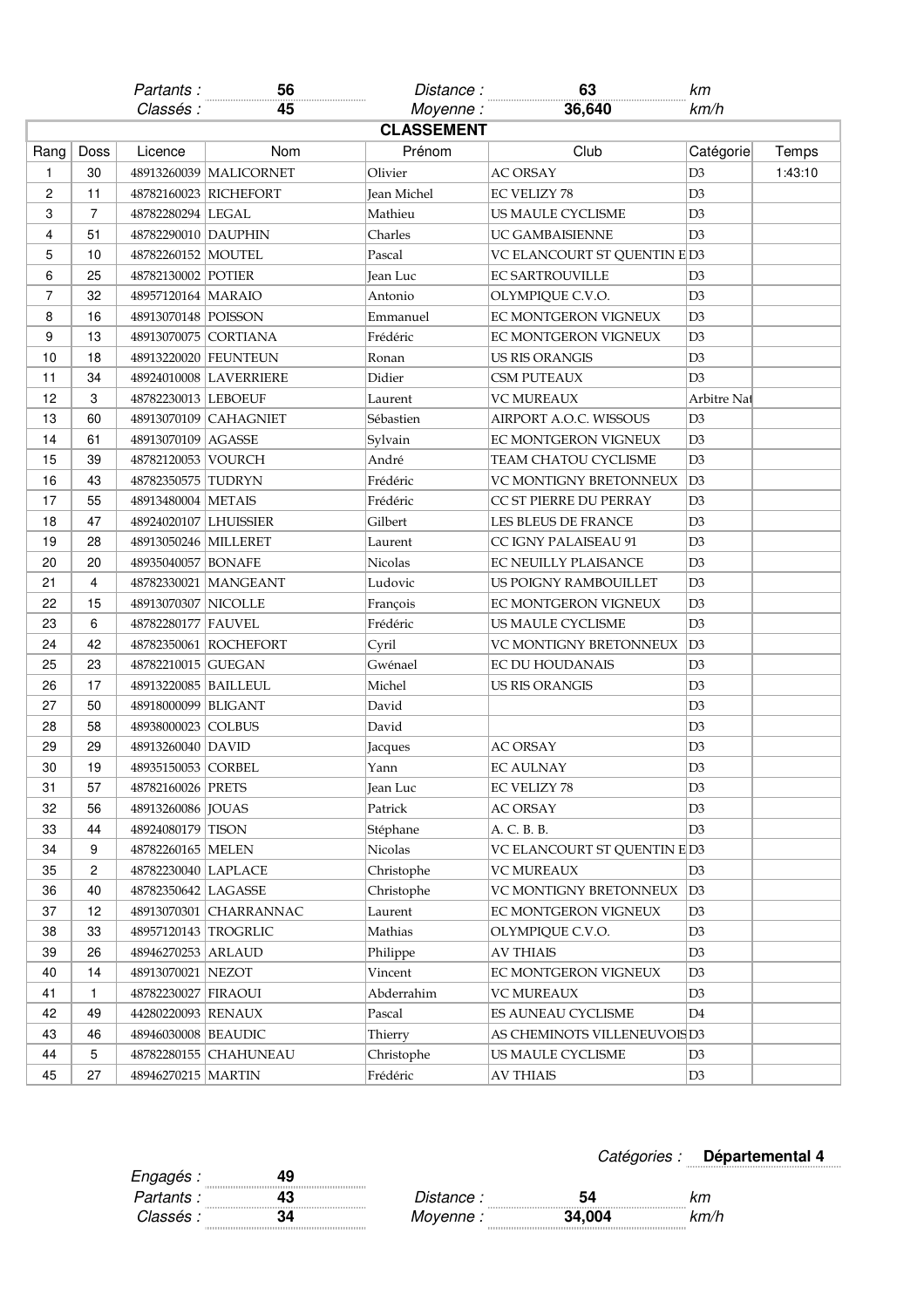|                |                   | Partants:              | 56                     | Distance :         | 63                           | km             |         |  |  |
|----------------|-------------------|------------------------|------------------------|--------------------|------------------------------|----------------|---------|--|--|
|                |                   | Classés :              | 45                     | Moyenne:           | 36,640                       | km/h           |         |  |  |
|                | <b>CLASSEMENT</b> |                        |                        |                    |                              |                |         |  |  |
| Rang           | Doss              | Licence                | Nom                    | Prénom             | Club                         | Catégorie      | Temps   |  |  |
| 1              | 30                |                        | 48913260039 MALICORNET | Olivier            | <b>AC ORSAY</b>              | D <sub>3</sub> | 1:43:10 |  |  |
| $\overline{c}$ | 11                |                        | 48782160023 RICHEFORT  | <b>Jean Michel</b> | <b>EC VELIZY 78</b>          | D <sub>3</sub> |         |  |  |
| 3              | 7                 | 48782280294 LEGAL      |                        | Mathieu            | US MAULE CYCLISME            | D3             |         |  |  |
| 4              | 51                | 48782290010 DAUPHIN    |                        | Charles            | <b>UC GAMBAISIENNE</b>       | D <sub>3</sub> |         |  |  |
| 5              | 10                | 48782260152 MOUTEL     |                        | Pascal             | VC ELANCOURT ST QUENTIN E D3 |                |         |  |  |
| 6              | 25                | 48782130002 POTIER     |                        | Jean Luc           | <b>EC SARTROUVILLE</b>       | D3             |         |  |  |
| $\overline{7}$ | 32                | 48957120164   MARAIO   |                        | Antonio            | OLYMPIQUE C.V.O.             | D <sub>3</sub> |         |  |  |
| 8              | 16                | 48913070148 POISSON    |                        | Emmanuel           | EC MONTGERON VIGNEUX         | D3             |         |  |  |
| 9              | 13                | 48913070075 CORTIANA   |                        | Frédéric           | EC MONTGERON VIGNEUX         | D3             |         |  |  |
| 10             | 18                |                        | 48913220020 FEUNTEUN   | Ronan              | <b>US RIS ORANGIS</b>        | D3             |         |  |  |
| 11             | 34                |                        | 48924010008 LAVERRIERE | Didier             | <b>CSM PUTEAUX</b>           | D3             |         |  |  |
| 12             | 3                 | 48782230013 LEBOEUF    |                        | Laurent            | <b>VC MUREAUX</b>            | Arbitre Nat    |         |  |  |
| 13             | 60                |                        | 48913070109 CAHAGNIET  | Sébastien          | AIRPORT A.O.C. WISSOUS       | D3             |         |  |  |
| 14             | 61                | 48913070109 AGASSE     |                        | Sylvain            | EC MONTGERON VIGNEUX         | D3             |         |  |  |
| 15             | 39                | 48782120053 VOURCH     |                        | André              | TEAM CHATOU CYCLISME         | D3             |         |  |  |
| 16             | 43                | 48782350575 TUDRYN     |                        | Frédéric           | VC MONTIGNY BRETONNEUX       | D3             |         |  |  |
| 17             | 55                | 48913480004 METAIS     |                        | Frédéric           | CC ST PIERRE DU PERRAY       | D3             |         |  |  |
| 18             | 47                | 48924020107 LHUISSIER  |                        | Gilbert            | LES BLEUS DE FRANCE          | D3             |         |  |  |
| 19             | 28                | 48913050246   MILLERET |                        | Laurent            | CC IGNY PALAISEAU 91         | D3             |         |  |  |
| 20             | 20                | 48935040057 BONAFE     |                        | <b>Nicolas</b>     | EC NEUILLY PLAISANCE         | D3             |         |  |  |
| 21             | 4                 |                        | 48782330021   MANGEANT | Ludovic            | US POIGNY RAMBOUILLET        | D3             |         |  |  |
| 22             | 15                | 48913070307 NICOLLE    |                        | François           | EC MONTGERON VIGNEUX         | D3             |         |  |  |
| 23             | 6                 | 48782280177 FAUVEL     |                        | Frédéric           | US MAULE CYCLISME            | D3             |         |  |  |
| 24             | 42                |                        | 48782350061 ROCHEFORT  | Cyril              | VC MONTIGNY BRETONNEUX       | D <sub>3</sub> |         |  |  |
| 25             | 23                | 48782210015 GUEGAN     |                        | Gwénael            | <b>EC DU HOUDANAIS</b>       | D3             |         |  |  |
| 26             | 17                | 48913220085   BAILLEUL |                        | Michel             | <b>US RIS ORANGIS</b>        | D3             |         |  |  |
| 27             | 50                | 48918000099 BLIGANT    |                        | David              |                              | D3             |         |  |  |
| 28             | 58                | 48938000023 COLBUS     |                        | David              |                              | D3             |         |  |  |
| 29             | 29                | 48913260040 DAVID      |                        | Jacques            | <b>AC ORSAY</b>              | D3             |         |  |  |
| 30             | 19                | 48935150053 CORBEL     |                        | Yann               | <b>EC AULNAY</b>             | D <sub>3</sub> |         |  |  |
| 31             | 57                | 48782160026 PRETS      |                        | Jean Luc           | EC VELIZY 78                 | D3             |         |  |  |
| 32             | 56                | 48913260086   JOUAS    |                        | Patrick            | <b>AC ORSAY</b>              | D3             |         |  |  |
| 33             | 44                | 48924080179 TISON      |                        | Stéphane           | A. C. B. B.                  | D3             |         |  |  |
| 34             | 9                 | 48782260165 MELEN      |                        | Nicolas            | VC ELANCOURT ST QUENTIN E D3 |                |         |  |  |
| 35             | 2                 | 48782230040 LAPLACE    |                        | Christophe         | <b>VC MUREAUX</b>            | D <sub>3</sub> |         |  |  |
| 36             | 40                | 48782350642 LAGASSE    |                        | Christophe         | VC MONTIGNY BRETONNEUX       | D3             |         |  |  |
| 37             | 12                |                        | 48913070301 CHARRANNAC | Laurent            | EC MONTGERON VIGNEUX         | D <sub>3</sub> |         |  |  |
| 38             | 33                | 48957120143 TROGRLIC   |                        | Mathias            | OLYMPIQUE C.V.O.             | D3             |         |  |  |
| 39             | 26                | 48946270253 ARLAUD     |                        | Philippe           | <b>AV THIAIS</b>             | D <sub>3</sub> |         |  |  |
| 40             | 14                | 48913070021 NEZOT      |                        | Vincent            | EC MONTGERON VIGNEUX         | D3             |         |  |  |
| 41             | 1                 | 48782230027 FIRAOUI    |                        | Abderrahim         | <b>VC MUREAUX</b>            | D <sub>3</sub> |         |  |  |
| 42             | 49                | 44280220093 RENAUX     |                        | Pascal             | ES AUNEAU CYCLISME           | D4             |         |  |  |
| 43             | 46                | 48946030008 BEAUDIC    |                        | Thierry            | AS CHEMINOTS VILLENEUVOISD3  |                |         |  |  |
| 44             | 5                 |                        | 48782280155 CHAHUNEAU  | Christophe         | US MAULE CYCLISME            | D <sub>3</sub> |         |  |  |
| 45             | 27                | 48946270215   MARTIN   |                        | Frédéric           | <b>AV THIAIS</b>             | D <sub>3</sub> |         |  |  |
|                |                   |                        |                        |                    |                              |                |         |  |  |

## Catégories : **Départemental 4**

| : iories |  | Départemental 4 |  |  |  |  |  |  |  |  |
|----------|--|-----------------|--|--|--|--|--|--|--|--|
|          |  |                 |  |  |  |  |  |  |  |  |

| Engagés :                  |   |             |        |                          |
|----------------------------|---|-------------|--------|--------------------------|
| 111111<br>Partants:        |   | ∵listance . | - 74   |                          |
| 111111<br><i>Classés :</i> | . | Moyenne :   | 34.004 | .<br><m∕n< td=""></m∕n<> |
|                            |   | 1111        |        | .                        |